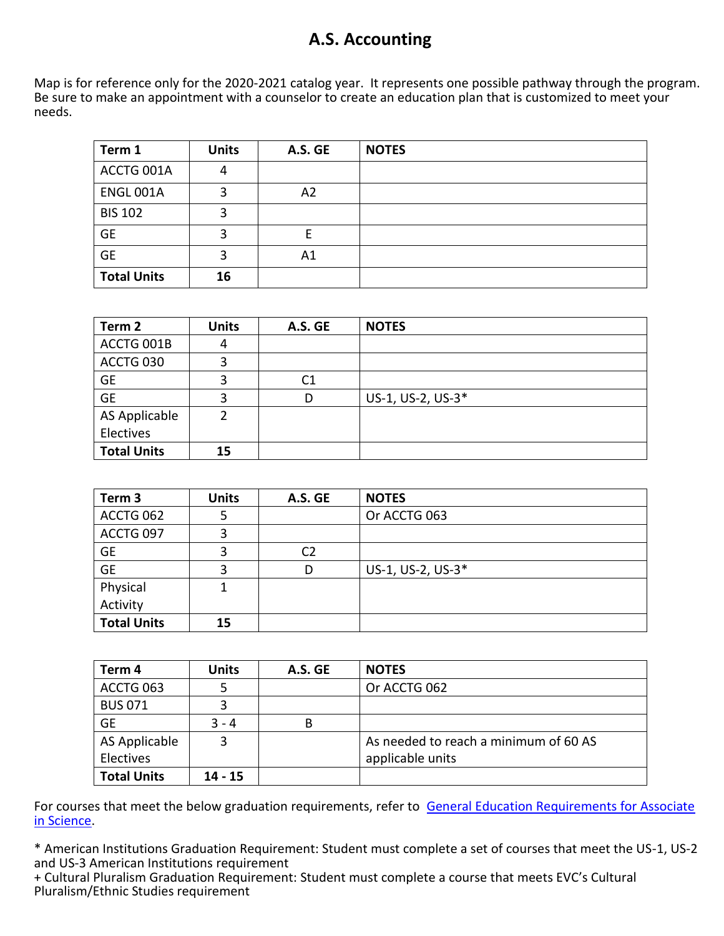## **A.S. Accounting**

Map is for reference only for the 2020-2021 catalog year. It represents one possible pathway through the program. Be sure to make an appointment with a counselor to create an education plan that is customized to meet your needs.

| Term 1             | <b>Units</b> | A.S. GE | <b>NOTES</b> |
|--------------------|--------------|---------|--------------|
| ACCTG 001A         | 4            |         |              |
| <b>ENGL 001A</b>   | 3            | A2      |              |
| <b>BIS 102</b>     | 3            |         |              |
| <b>GE</b>          | 3            | F       |              |
| <b>GE</b>          | 3            | Α1      |              |
| <b>Total Units</b> | 16           |         |              |

| Term 2             | <b>Units</b> | A.S. GE | <b>NOTES</b>      |
|--------------------|--------------|---------|-------------------|
| ACCTG 001B         | 4            |         |                   |
| ACCTG 030          |              |         |                   |
| <b>GE</b>          | 3            | C1      |                   |
| <b>GE</b>          |              | D       | US-1, US-2, US-3* |
| AS Applicable      |              |         |                   |
| Electives          |              |         |                   |
| <b>Total Units</b> | 15           |         |                   |

| Term <sub>3</sub>  | <b>Units</b> | A.S. GE        | <b>NOTES</b>      |
|--------------------|--------------|----------------|-------------------|
| ACCTG 062          |              |                | Or ACCTG 063      |
| ACCTG 097          |              |                |                   |
| <b>GE</b>          |              | C <sub>2</sub> |                   |
| <b>GE</b>          |              | D              | US-1, US-2, US-3* |
| Physical           |              |                |                   |
| Activity           |              |                |                   |
| <b>Total Units</b> | 15           |                |                   |

| Term 4             | <b>Units</b> | A.S. GE | <b>NOTES</b>                          |
|--------------------|--------------|---------|---------------------------------------|
| ACCTG 063          |              |         | Or ACCTG 062                          |
| <b>BUS 071</b>     |              |         |                                       |
| <b>GE</b>          | $3 - 4$      | В       |                                       |
| AS Applicable      | っ            |         | As needed to reach a minimum of 60 AS |
| Electives          |              |         | applicable units                      |
| <b>Total Units</b> | $14 - 15$    |         |                                       |

For courses that meet the below graduation requirements, refer to General Education Requirements for Associate [in Science.](https://www.evc.edu/current-students/degrees-certificates)

\* American Institutions Graduation Requirement: Student must complete a set of courses that meet the US-1, US-2 and US-3 American Institutions requirement

+ Cultural Pluralism Graduation Requirement: Student must complete a course that meets EVC's Cultural Pluralism/Ethnic Studies requirement